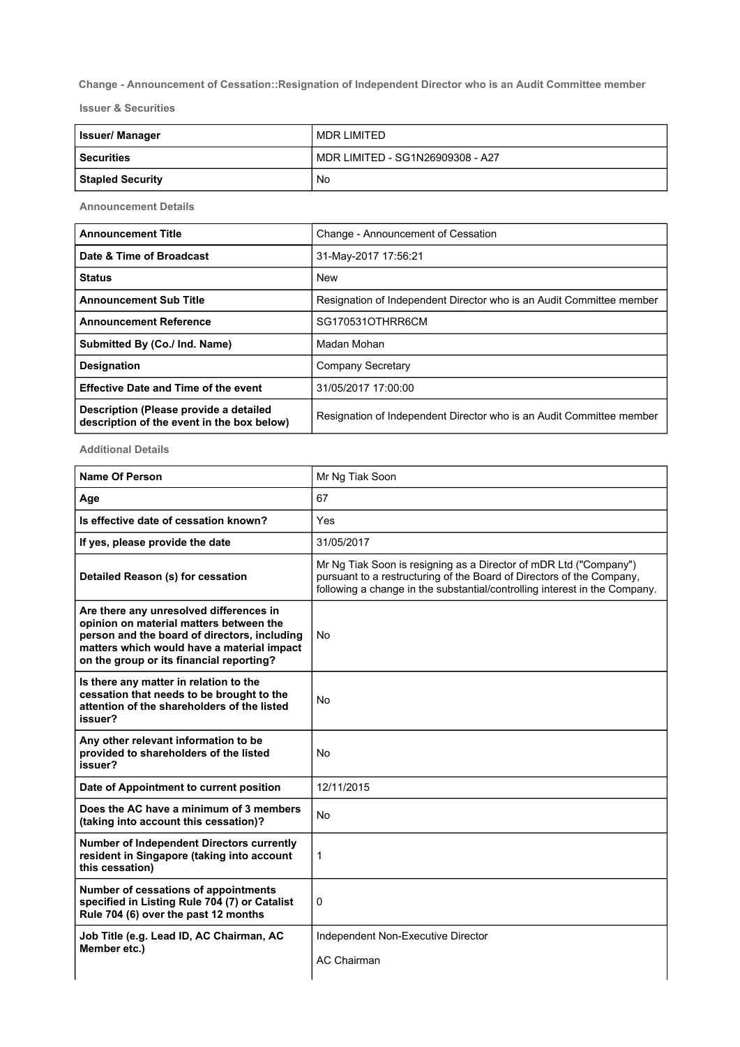Change - Announcement of Cessation::Resignation of Independent Director who is an Audit Committee member

Issuer & Securities

| <b>Issuer/Manager</b>   | MDR LIMITED                      |
|-------------------------|----------------------------------|
| l Securities            | MDR LIMITED - SG1N26909308 - A27 |
| <b>Stapled Security</b> | No                               |

Announcement Details

| <b>Announcement Title</b>                                                            | Change - Announcement of Cessation                                   |
|--------------------------------------------------------------------------------------|----------------------------------------------------------------------|
| Date & Time of Broadcast                                                             | 31-May-2017 17:56:21                                                 |
| <b>Status</b>                                                                        | New                                                                  |
| <b>Announcement Sub Title</b>                                                        | Resignation of Independent Director who is an Audit Committee member |
| <b>Announcement Reference</b>                                                        | SG170531OTHRR6CM                                                     |
| Submitted By (Co./ Ind. Name)                                                        | Madan Mohan                                                          |
| <b>Designation</b>                                                                   | Company Secretary                                                    |
| <b>Effective Date and Time of the event</b>                                          | 31/05/2017 17:00:00                                                  |
| Description (Please provide a detailed<br>description of the event in the box below) | Resignation of Independent Director who is an Audit Committee member |

Additional Details

| <b>Name Of Person</b>                                                                                                                                                                                                        | Mr Ng Tiak Soon                                                                                                                                                                                                          |
|------------------------------------------------------------------------------------------------------------------------------------------------------------------------------------------------------------------------------|--------------------------------------------------------------------------------------------------------------------------------------------------------------------------------------------------------------------------|
| Age                                                                                                                                                                                                                          | 67                                                                                                                                                                                                                       |
| Is effective date of cessation known?                                                                                                                                                                                        | Yes                                                                                                                                                                                                                      |
| If yes, please provide the date                                                                                                                                                                                              | 31/05/2017                                                                                                                                                                                                               |
| Detailed Reason (s) for cessation                                                                                                                                                                                            | Mr Ng Tiak Soon is resigning as a Director of mDR Ltd ("Company")<br>pursuant to a restructuring of the Board of Directors of the Company,<br>following a change in the substantial/controlling interest in the Company. |
| Are there any unresolved differences in<br>opinion on material matters between the<br>person and the board of directors, including<br>matters which would have a material impact<br>on the group or its financial reporting? | <b>No</b>                                                                                                                                                                                                                |
| Is there any matter in relation to the<br>cessation that needs to be brought to the<br>attention of the shareholders of the listed<br>issuer?                                                                                | No                                                                                                                                                                                                                       |
| Any other relevant information to be<br>provided to shareholders of the listed<br>issuer?                                                                                                                                    | No                                                                                                                                                                                                                       |
| Date of Appointment to current position                                                                                                                                                                                      | 12/11/2015                                                                                                                                                                                                               |
| Does the AC have a minimum of 3 members<br>(taking into account this cessation)?                                                                                                                                             | No                                                                                                                                                                                                                       |
| <b>Number of Independent Directors currently</b><br>resident in Singapore (taking into account<br>this cessation)                                                                                                            | 1                                                                                                                                                                                                                        |
| Number of cessations of appointments<br>specified in Listing Rule 704 (7) or Catalist<br>Rule 704 (6) over the past 12 months                                                                                                | 0                                                                                                                                                                                                                        |
| Job Title (e.g. Lead ID, AC Chairman, AC<br>Member etc.)                                                                                                                                                                     | Independent Non-Executive Director<br><b>AC Chairman</b>                                                                                                                                                                 |